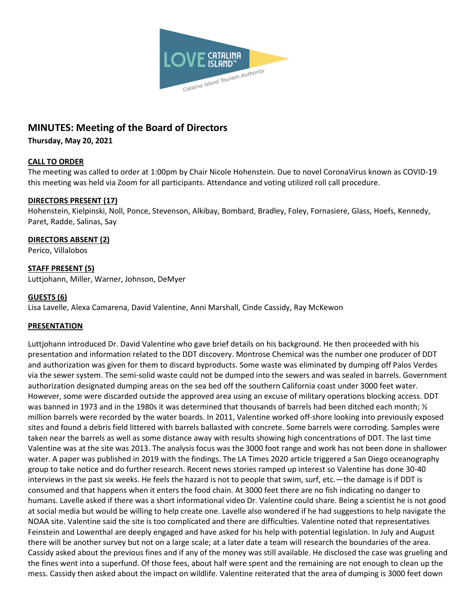

# **MINUTES: Meeting of the Board of Directors**

**Thursday, May 20, 2021**

# **CALL TO ORDER**

The meeting was called to order at 1:00pm by Chair Nicole Hohenstein. Due to novel CoronaVirus known as COVID-19 this meeting was held via Zoom for all participants. Attendance and voting utilized roll call procedure.

# **DIRECTORS PRESENT (17)**

Hohenstein, Kielpinski, Noll, Ponce, Stevenson, Alkibay, Bombard, Bradley, Foley, Fornasiere, Glass, Hoefs, Kennedy, Paret, Radde, Salinas, Say

## **DIRECTORS ABSENT (2)**

Perico, Villalobos

# **STAFF PRESENT (5)**

Luttjohann, Miller, Warner, Johnson, DeMyer

## **GUESTS (6)**

Lisa Lavelle, Alexa Camarena, David Valentine, Anni Marshall, Cinde Cassidy, Ray McKewon

## **PRESENTATION**

Luttjohann introduced Dr. David Valentine who gave brief details on his background. He then proceeded with his presentation and information related to the DDT discovery. Montrose Chemical was the number one producer of DDT and authorization was given for them to discard byproducts. Some waste was eliminated by dumping off Palos Verdes via the sewer system. The semi-solid waste could not be dumped into the sewers and was sealed in barrels. Government authorization designated dumping areas on the sea bed off the southern California coast under 3000 feet water. However, some were discarded outside the approved area using an excuse of military operations blocking access. DDT was banned in 1973 and in the 1980s it was determined that thousands of barrels had been ditched each month; 1/2 million barrels were recorded by the water boards. In 2011, Valentine worked off-shore looking into previously exposed sites and found a debris field littered with barrels ballasted with concrete. Some barrels were corroding. Samples were taken near the barrels as well as some distance away with results showing high concentrations of DDT. The last time Valentine was at the site was 2013. The analysis focus was the 3000 foot range and work has not been done in shallower water. A paper was published in 2019 with the findings. The LA Times 2020 article triggered a San Diego oceanography group to take notice and do further research. Recent news stories ramped up interest so Valentine has done 30-40 interviews in the past six weeks. He feels the hazard is not to people that swim, surf, etc.—the damage is if DDT is consumed and that happens when it enters the food chain. At 3000 feet there are no fish indicating no danger to humans. Lavelle asked if there was a short informational video Dr. Valentine could share. Being a scientist he is not good at social media but would be willing to help create one. Lavelle also wondered if he had suggestions to help navigate the NOAA site. Valentine said the site is too complicated and there are difficulties. Valentine noted that representatives Feinstein and Lowenthal are deeply engaged and have asked for his help with potential legislation. In July and August there will be another survey but not on a large scale; at a later date a team will research the boundaries of the area. Cassidy asked about the previous fines and if any of the money was still available. He disclosed the case was grueling and the fines went into a superfund. Of those fees, about half were spent and the remaining are not enough to clean up the mess. Cassidy then asked about the impact on wildlife. Valentine reiterated that the area of dumping is 3000 feet down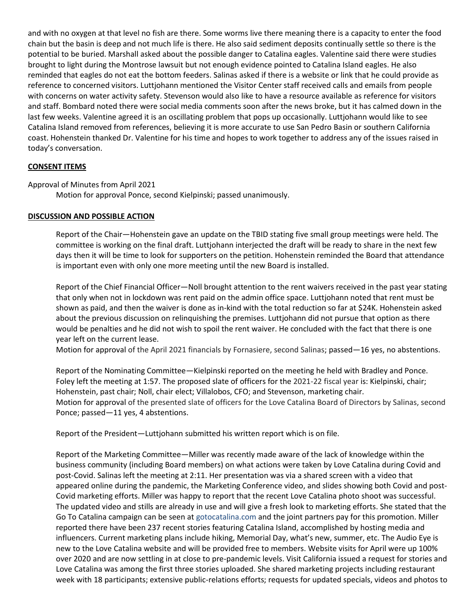and with no oxygen at that level no fish are there. Some worms live there meaning there is a capacity to enter the food chain but the basin is deep and not much life is there. He also said sediment deposits continually settle so there is the potential to be buried. Marshall asked about the possible danger to Catalina eagles. Valentine said there were studies brought to light during the Montrose lawsuit but not enough evidence pointed to Catalina Island eagles. He also reminded that eagles do not eat the bottom feeders. Salinas asked if there is a website or link that he could provide as reference to concerned visitors. Luttjohann mentioned the Visitor Center staff received calls and emails from people with concerns on water activity safety. Stevenson would also like to have a resource available as reference for visitors and staff. Bombard noted there were social media comments soon after the news broke, but it has calmed down in the last few weeks. Valentine agreed it is an oscillating problem that pops up occasionally. Luttjohann would like to see Catalina Island removed from references, believing it is more accurate to use San Pedro Basin or southern California coast. Hohenstein thanked Dr. Valentine for his time and hopes to work together to address any of the issues raised in today's conversation.

## **CONSENT ITEMS**

## Approval of Minutes from April 2021

Motion for approval Ponce, second Kielpinski; passed unanimously.

## **DISCUSSION AND POSSIBLE ACTION**

Report of the Chair—Hohenstein gave an update on the TBID stating five small group meetings were held. The committee is working on the final draft. Luttjohann interjected the draft will be ready to share in the next few days then it will be time to look for supporters on the petition. Hohenstein reminded the Board that attendance is important even with only one more meeting until the new Board is installed.

Report of the Chief Financial Officer—Noll brought attention to the rent waivers received in the past year stating that only when not in lockdown was rent paid on the admin office space. Luttjohann noted that rent must be shown as paid, and then the waiver is done as in-kind with the total reduction so far at \$24K. Hohenstein asked about the previous discussion on relinquishing the premises. Luttjohann did not pursue that option as there would be penalties and he did not wish to spoil the rent waiver. He concluded with the fact that there is one year left on the current lease.

Motion for approval of the April 2021 financials by Fornasiere, second Salinas; passed—16 yes, no abstentions.

Report of the Nominating Committee—Kielpinski reported on the meeting he held with Bradley and Ponce. Foley left the meeting at 1:57. The proposed slate of officers for the 2021-22 fiscal year is: Kielpinski, chair; Hohenstein, past chair; Noll, chair elect; Villalobos, CFO; and Stevenson, marketing chair. Motion for approval of the presented slate of officers for the Love Catalina Board of Directors by Salinas, second Ponce; passed—11 yes, 4 abstentions.

Report of the President—Luttjohann submitted his written report which is on file.

Report of the Marketing Committee—Miller was recently made aware of the lack of knowledge within the business community (including Board members) on what actions were taken by Love Catalina during Covid and post-Covid. Salinas left the meeting at 2:11. Her presentation was via a shared screen with a video that appeared online during the pandemic, the Marketing Conference video, and slides showing both Covid and post-Covid marketing efforts. Miller was happy to report that the recent Love Catalina photo shoot was successful. The updated video and stills are already in use and will give a fresh look to marketing efforts. She stated that the Go To Catalina campaign can be seen at gotocatalina.com and the joint partners pay for this promotion. Miller reported there have been 237 recent stories featuring Catalina Island, accomplished by hosting media and influencers. Current marketing plans include hiking, Memorial Day, what's new, summer, etc. The Audio Eye is new to the Love Catalina website and will be provided free to members. Website visits for April were up 100% over 2020 and are now settling in at close to pre-pandemic levels. Visit California issued a request for stories and Love Catalina was among the first three stories uploaded. She shared marketing projects including restaurant week with 18 participants; extensive public-relations efforts; requests for updated specials, videos and photos to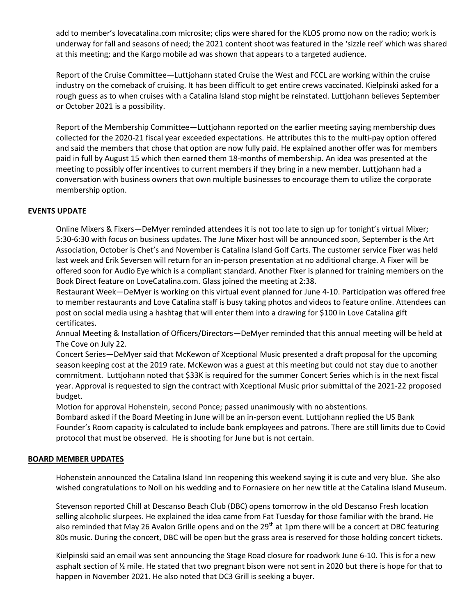add to member's lovecatalina.com microsite; clips were shared for the KLOS promo now on the radio; work is underway for fall and seasons of need; the 2021 content shoot was featured in the 'sizzle reel' which was shared at this meeting; and the Kargo mobile ad was shown that appears to a targeted audience.

Report of the Cruise Committee—Luttjohann stated Cruise the West and FCCL are working within the cruise industry on the comeback of cruising. It has been difficult to get entire crews vaccinated. Kielpinski asked for a rough guess as to when cruises with a Catalina Island stop might be reinstated. Luttjohann believes September or October 2021 is a possibility.

Report of the Membership Committee—Luttjohann reported on the earlier meeting saying membership dues collected for the 2020-21 fiscal year exceeded expectations. He attributes this to the multi-pay option offered and said the members that chose that option are now fully paid. He explained another offer was for members paid in full by August 15 which then earned them 18-months of membership. An idea was presented at the meeting to possibly offer incentives to current members if they bring in a new member. Luttjohann had a conversation with business owners that own multiple businesses to encourage them to utilize the corporate membership option.

## **EVENTS UPDATE**

Online Mixers & Fixers—DeMyer reminded attendees it is not too late to sign up for tonight's virtual Mixer; 5:30-6:30 with focus on business updates. The June Mixer host will be announced soon, September is the Art Association, October is Chet's and November is Catalina Island Golf Carts. The customer service Fixer was held last week and Erik Seversen will return for an in-person presentation at no additional charge. A Fixer will be offered soon for Audio Eye which is a compliant standard. Another Fixer is planned for training members on the Book Direct feature on LoveCatalina.com. Glass joined the meeting at 2:38.

Restaurant Week—DeMyer is working on this virtual event planned for June 4-10. Participation was offered free to member restaurants and Love Catalina staff is busy taking photos and videos to feature online. Attendees can post on social media using a hashtag that will enter them into a drawing for \$100 in Love Catalina gift certificates.

Annual Meeting & Installation of Officers/Directors—DeMyer reminded that this annual meeting will be held at The Cove on July 22.

Concert Series—DeMyer said that McKewon of Xceptional Music presented a draft proposal for the upcoming season keeping cost at the 2019 rate. McKewon was a guest at this meeting but could not stay due to another commitment. Luttjohann noted that \$33K is required for the summer Concert Series which is in the next fiscal year. Approval is requested to sign the contract with Xceptional Music prior submittal of the 2021-22 proposed budget.

Motion for approval Hohenstein, second Ponce; passed unanimously with no abstentions.

Bombard asked if the Board Meeting in June will be an in-person event. Luttjohann replied the US Bank Founder's Room capacity is calculated to include bank employees and patrons. There are still limits due to Covid protocol that must be observed. He is shooting for June but is not certain.

#### **BOARD MEMBER UPDATES**

Hohenstein announced the Catalina Island Inn reopening this weekend saying it is cute and very blue. She also wished congratulations to Noll on his wedding and to Fornasiere on her new title at the Catalina Island Museum.

Stevenson reported Chill at Descanso Beach Club (DBC) opens tomorrow in the old Descanso Fresh location selling alcoholic slurpees. He explained the idea came from Fat Tuesday for those familiar with the brand. He also reminded that May 26 Avalon Grille opens and on the 29<sup>th</sup> at 1pm there will be a concert at DBC featuring 80s music. During the concert, DBC will be open but the grass area is reserved for those holding concert tickets.

Kielpinski said an email was sent announcing the Stage Road closure for roadwork June 6-10. This is for a new asphalt section of ½ mile. He stated that two pregnant bison were not sent in 2020 but there is hope for that to happen in November 2021. He also noted that DC3 Grill is seeking a buyer.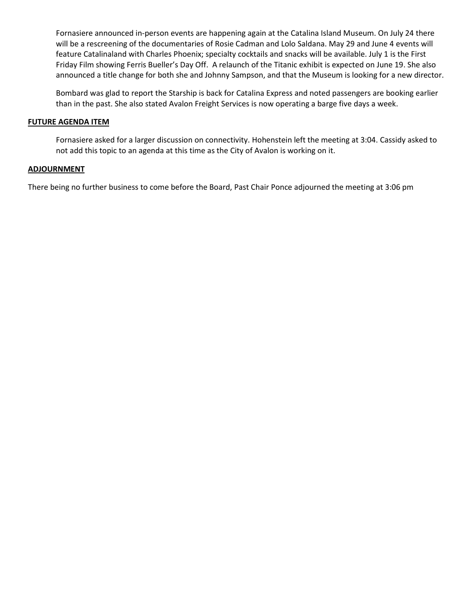Fornasiere announced in-person events are happening again at the Catalina Island Museum. On July 24 there will be a rescreening of the documentaries of Rosie Cadman and Lolo Saldana. May 29 and June 4 events will feature Catalinaland with Charles Phoenix; specialty cocktails and snacks will be available. July 1 is the First Friday Film showing Ferris Bueller's Day Off. A relaunch of the Titanic exhibit is expected on June 19. She also announced a title change for both she and Johnny Sampson, and that the Museum is looking for a new director.

Bombard was glad to report the Starship is back for Catalina Express and noted passengers are booking earlier than in the past. She also stated Avalon Freight Services is now operating a barge five days a week.

#### **FUTURE AGENDA ITEM**

Fornasiere asked for a larger discussion on connectivity. Hohenstein left the meeting at 3:04. Cassidy asked to not add this topic to an agenda at this time as the City of Avalon is working on it.

#### **ADJOURNMENT**

There being no further business to come before the Board, Past Chair Ponce adjourned the meeting at 3:06 pm